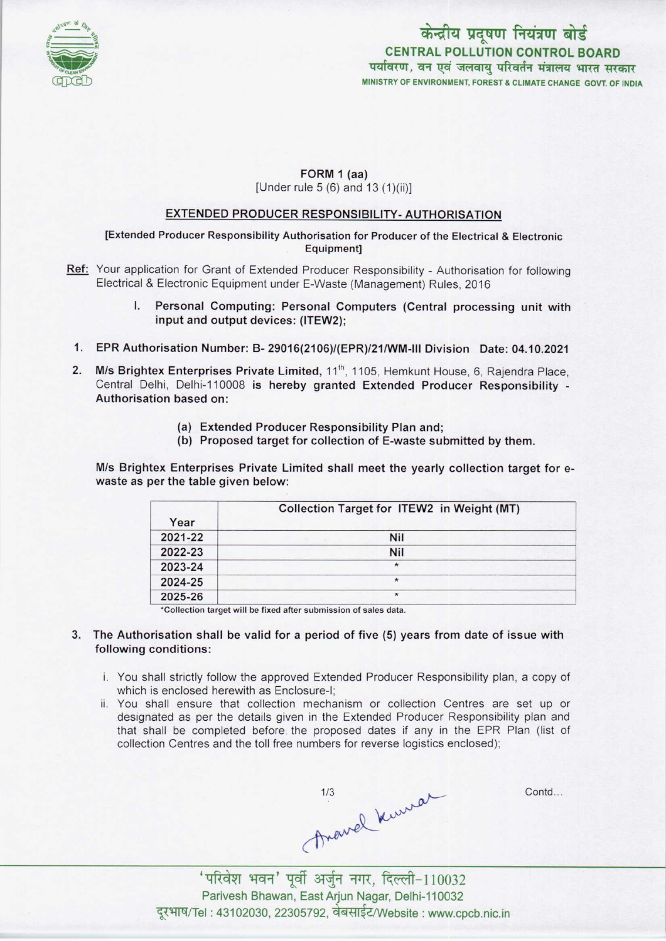

# केन्द्रीय प्रदूषण नियंत्रण बोर्ड CENTRAL POLLUTION CONTROL BOARD<br>पर्यावरण, वन एवं जलवायु परिवर्तन मंत्रालय भारत सरकार MINISTRY OF ENVIRONMENT, FOREST S CLIMATE CHANGE GOVT. OF INDIA

#### FORM 1 (aa) [Under rule 5 (6) and 13 (1)(ii)]

#### EXTENDED PRODUCER RESPONSIBILITY-AUTHORISATION

[Extended Producer Responsibility Authorisation for Producer of the Electrical & Electronic Equipment]

- Ref: Your application for Grant of Extended Producer Responsibility Authorisation for following Electrical & Electronic Equipment under E-Waste (Management) Rules, 2016
	- I. Personal Computing: Personal Computers (Central processing unit with input and output devices: (ITEW2);
- 1.EPR Authorisation Number: B- 29016(2106)/(EPR)/21/WM-lll Division Date: 04.10.2021
- 2. M/s Brightex Enterprises Private Limited, 11<sup>th</sup>, 1105, Hemkunt House, 6, Rajendra Place, Central Delhi, Delhi-110008 is hereby granted Extended Producer Responsibility - Authorisation based on:
	- (a)Extended Producer Responsibility Plan and;
	- (b) Proposed target for collection of E-waste submitted by them.

M/s Brightex Enterprises Private Limited shall meet the yearly collection target for ewaste as per the table given below:

| Year    | Collection Target for ITEW2 in Weight (MT) |
|---------|--------------------------------------------|
| 2021-22 | <b>Nil</b>                                 |
| 2022-23 | <b>Nil</b>                                 |
| 2023-24 | $\star$                                    |
| 2024-25 | $\star$                                    |
| 2025-26 | $\star$                                    |

\*Collection target will be fixed after submission of sales data.

- 3. The Authorisation shall be valid for a period of five (5) years from date of issue with following conditions:
	- i. You shall strictly follow the approved Extended Producer Responsibility plan, a copy of which is enclosed herewith as Enclosure-I;
	- ii. You shall ensure that collection mechanism or collection Centres are set up or designated as per the details given in the Extended Producer Responsibility plan and that shall be completed before the proposed dates if any in the EPR Plan (list of collection Centres and the toll free numbers for reverse logistics enclosed);

 $1/3$  Contd.

'परिवेश भवन' पूर्वी अर्जुन नगर, दिल्ली-110032 Parivesh Bhawan, East Arjun Nagar, Delhi-110032 दूरभाष/Tel : 43102030, 22305792, वेबसाईट/Website : www.cpcb.nic.in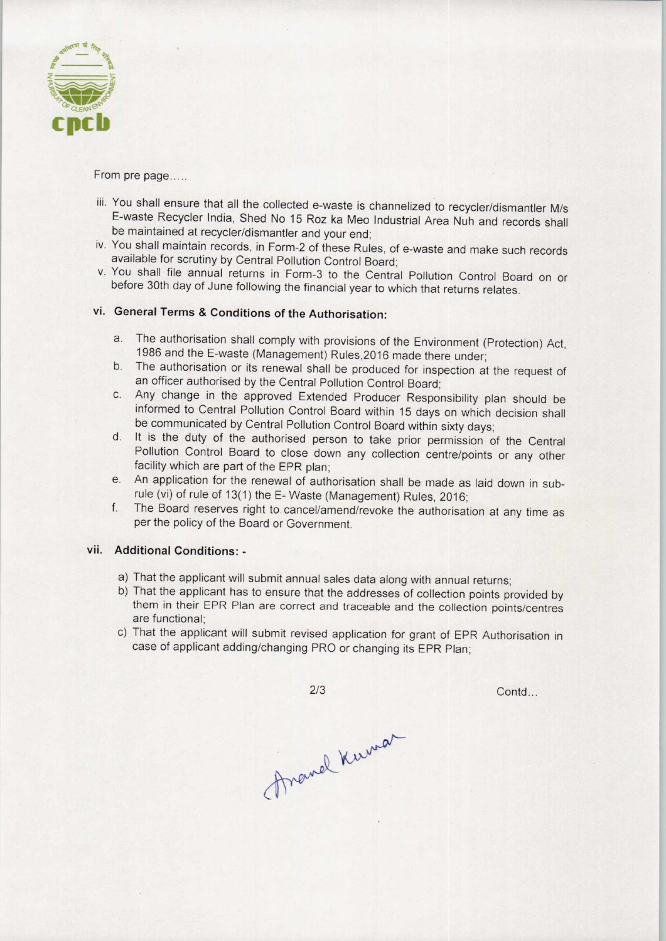

From pre page.....

- iii. You shall ensure that all the collected e-waste is channelized to recycler/dismantler M/s E-waste Recycler India, Shed No 15 Roz ka Meo Industrial Area Nuh and records shall be maintained at recycler/dismantler and your end;
- iv. You shall maintain records, in Form-2 of these Rules, of e-waste and make such records available for scrutiny by Central Pollution Control Board;
- v. You shall file annual returns in Form-3 to the Central Pollution Control Board on or before 30th day of June following the financial year to which that returns relates.

## vi. General Terms & Conditions of the Authorisation:

- a.The authorisation shall comply with provisions of the Environment (Protection) Act, 1986 and the E-waste (Management) Rules,2016 made there under;
- b. The authorisation or its renewal shall be produced for inspection at the request of an officer authorised by the Central Pollution Control Board;
- c.Any change in the approved Extended Producer Responsibility plan should be informed to Central Pollution Control Board within 15 days on which decision shall be communicated by Central Pollution Control Board within sixty days;
- d. It is the duty of the authorised person to take prior permission of the Central Pollution Control Board to close down any collection centre/points or any other facility which are part of the EPR plan;
- e. An application for the renewal of authorisation shall be made as laid down in subrule (vi) of rule of 13(1) the E- Waste (Management) Rules, 2016;
- f. The Board reserves right to cancel/amend/revoke the authorisation at any time as per the policy of the Board or Government.

### vii. Additional Conditions: -

- a) That the applicant will submit annual sales data along with annual returns;
- Net also data along with annual returns;<br>
and the addresses of collection points provided that traceable and the collection points/ce<br>
sed application for grant of EPR Authorisation<br>
PRO or changing its EPR Plan;<br>
2/3 b) That the applicant has to ensure that the addresses of collection points provided by them in their EPR Plan are correct and traceable and the collection points/centres are functional;
- c) That the applicant will submit revised application for grant of EPR Authorisation in case of applicant adding/changing PRO or changing its EPR Plan;